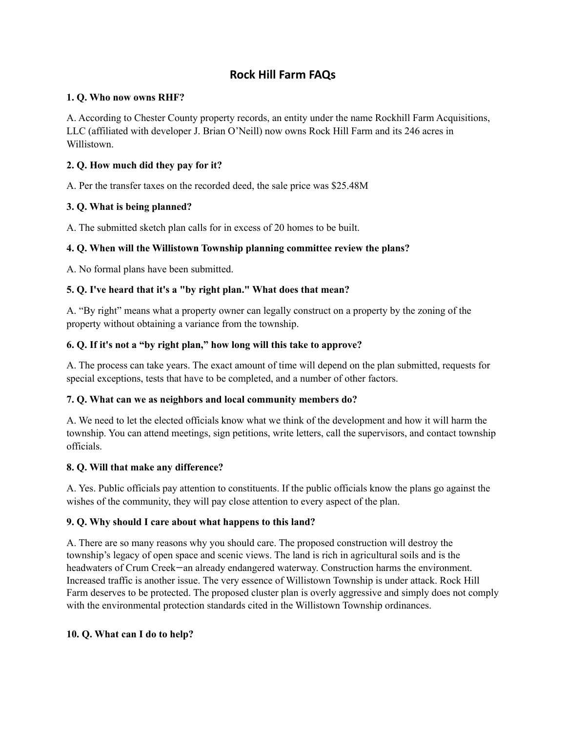# **Rock Hill Farm FAQs**

### **1. Q. Who now owns RHF?**

A. According to Chester County property records, an entity under the name Rockhill Farm Acquisitions, LLC (affiliated with developer J. Brian [O'Neill](https://www.bizjournals.com/philadelphia/search/results?q=J.%20Brian%20O%E2%80%99Neill)) now owns Rock Hill Farm and its 246 acres in Willistown.

# **2. Q. How much did they pay for it?**

A. Per the transfer taxes on the recorded deed, the sale price was \$25.48M

# **3. Q. What is being planned?**

A. The submitted sketch plan calls for in excess of 20 homes to be built.

# **4. Q. When will the Willistown Township planning committee review the plans?**

A. No formal plans have been submitted.

### **5. Q. I've heard that it's a "by right plan." What does that mean?**

A. "By right" means what a property owner can legally construct on a property by the zoning of the property without obtaining a variance from the township.

### **6. Q. If it's not a "by right plan," how long will this take to approve?**

A. The process can take years. The exact amount of time will depend on the plan submitted, requests for special exceptions, tests that have to be completed, and a number of other factors.

### **7. Q. What can we as neighbors and local community members do?**

A. We need to let the elected officials know what we think of the development and how it will harm the township. You can attend meetings, sign petitions, write letters, call the supervisors, and contact township officials.

### **8. Q. Will that make any difference?**

A. Yes. Public officials pay attention to constituents. If the public officials know the plans go against the wishes of the community, they will pay close attention to every aspect of the plan.

### **9. Q. Why should I care about what happens to this land?**

A. There are so many reasons why you should care. The proposed construction will destroy the township's legacy of open space and scenic views. The land is rich in agricultural soils and is the headwaters of Crum Creek—an already endangered waterway. Construction harms the environment. Increased traffic is another issue. The very essence of Willistown Township is under attack. Rock Hill Farm deserves to be protected. The proposed cluster plan is overly aggressive and simply does not comply with the environmental protection standards cited in the Willistown Township ordinances.

### **10. Q. What can I do to help?**